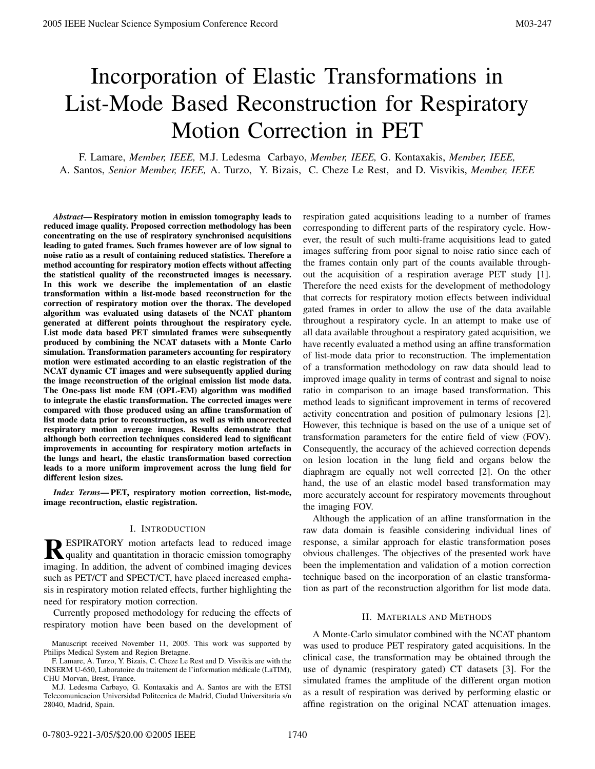# Incorporation of Elastic Transformations in List-Mode Based Reconstruction for Respiratory Motion Correction in PET

F. Lamare, *Member, IEEE,* M.J. Ledesma Carbayo, *Member, IEEE,* G. Kontaxakis, *Member, IEEE,* A. Santos, *Senior Member, IEEE,* A. Turzo, Y. Bizais, C. Cheze Le Rest, and D. Visvikis, *Member, IEEE*

*Abstract***— Respiratory motion in emission tomography leads to reduced image quality. Proposed correction methodology has been concentrating on the use of respiratory synchronised acquisitions leading to gated frames. Such frames however are of low signal to noise ratio as a result of containing reduced statistics. Therefore a method accounting for respiratory motion effects without affecting the statistical quality of the reconstructed images is necessary. In this work we describe the implementation of an elastic transformation within a list-mode based reconstruction for the correction of respiratory motion over the thorax. The developed algorithm was evaluated using datasets of the NCAT phantom generated at different points throughout the respiratory cycle. List mode data based PET simulated frames were subsequently produced by combining the NCAT datasets with a Monte Carlo simulation. Transformation parameters accounting for respiratory motion were estimated according to an elastic registration of the NCAT dynamic CT images and were subsequently applied during the image reconstruction of the original emission list mode data. The One-pass list mode EM (OPL-EM) algorithm was modified to integrate the elastic transformation. The corrected images were compared with those produced using an affine transformation of list mode data prior to reconstruction, as well as with uncorrected respiratory motion average images. Results demonstrate that although both correction techniques considered lead to significant improvements in accounting for respiratory motion artefacts in the lungs and heart, the elastic transformation based correction leads to a more uniform improvement across the lung field for different lesion sizes.**

*Index Terms***— PET, respiratory motion correction, list-mode, image recontruction, elastic registration.**

## I. INTRODUCTION

**RESPIRATORY** motion artefacts lead to reduced image quality and quantitation in thoracic emission tomography imaging. In addition, the advent of combined imaging devices such as PET/CT and SPECT/CT, have placed increased emphasis in respiratory motion related effects, further highlighting the need for respiratory motion correction.

Currently proposed methodology for reducing the effects of respiratory motion have been based on the development of

respiration gated acquisitions leading to a number of frames corresponding to different parts of the respiratory cycle. However, the result of such multi-frame acquisitions lead to gated images suffering from poor signal to noise ratio since each of the frames contain only part of the counts available throughout the acquisition of a respiration average PET study [1]. Therefore the need exists for the development of methodology that corrects for respiratory motion effects between individual gated frames in order to allow the use of the data available throughout a respiratory cycle. In an attempt to make use of all data available throughout a respiratory gated acquisition, we have recently evaluated a method using an affine transformation of list-mode data prior to reconstruction. The implementation of a transformation methodology on raw data should lead to improved image quality in terms of contrast and signal to noise ratio in comparison to an image based transformation. This method leads to significant improvement in terms of recovered activity concentration and position of pulmonary lesions [2]. However, this technique is based on the use of a unique set of transformation parameters for the entire field of view (FOV). Consequently, the accuracy of the achieved correction depends on lesion location in the lung field and organs below the diaphragm are equally not well corrected [2]. On the other hand, the use of an elastic model based transformation may more accurately account for respiratory movements throughout the imaging FOV. 2003 ELEC Nuclear Symposium Conference Record<br>
10:00 Data Conference Record Conference Record Conference Persons and the symposium conference Record Conference Record Conference Record Conference Record Conference Record

Although the application of an affine transformation in the raw data domain is feasible considering individual lines of response, a similar approach for elastic transformation poses obvious challenges. The objectives of the presented work have been the implementation and validation of a motion correction technique based on the incorporation of an elastic transformation as part of the reconstruction algorithm for list mode data.

## II. MATERIALS AND METHODS

A Monte-Carlo simulator combined with the NCAT phantom was used to produce PET respiratory gated acquisitions. In the clinical case, the transformation may be obtained through the use of dynamic (respiratory gated) CT datasets [3]. For the simulated frames the amplitude of the different organ motion as a result of respiration was derived by performing elastic or affine registration on the original NCAT attenuation images.

Manuscript received November 11, 2005. This work was supported by Philips Medical System and Region Bretagne.

F. Lamare, A. Turzo, Y. Bizais, C. Cheze Le Rest and D. Visvikis are with the INSERM U-650, Laboratoire du traitement de l'information medicale (LaTIM), ´ CHU Morvan, Brest, France.

M.J. Ledesma Carbayo, G. Kontaxakis and A. Santos are with the ETSI Telecomunicacion Universidad Politecnica de Madrid, Ciudad Universitaria s/n 28040, Madrid, Spain.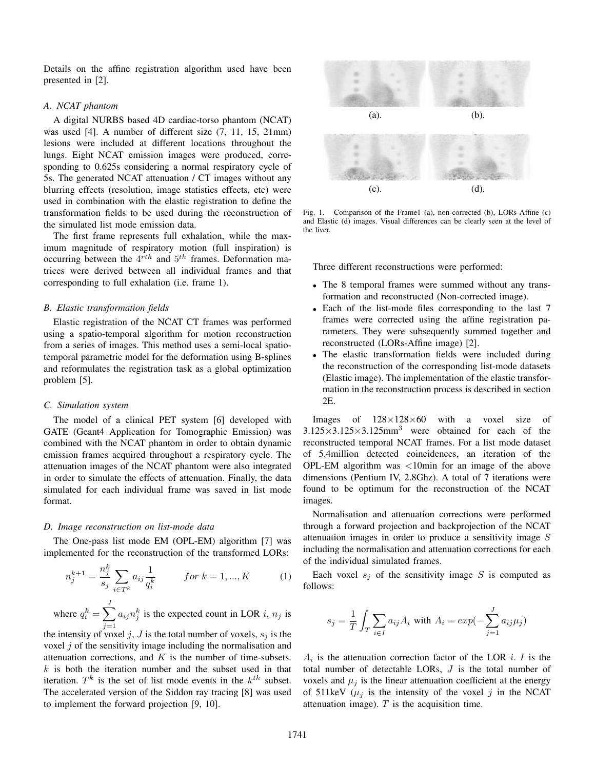Details on the affine registration algorithm used have been presented in [2].

# *A. NCAT phantom*

A digital NURBS based 4D cardiac-torso phantom (NCAT) was used [4]. A number of different size (7, 11, 15, 21mm) lesions were included at different locations throughout the lungs. Eight NCAT emission images were produced, corresponding to 0.625s considering a normal respiratory cycle of 5s. The generated NCAT attenuation / CT images without any blurring effects (resolution, image statistics effects, etc) were used in combination with the elastic registration to define the transformation fields to be used during the reconstruction of the simulated list mode emission data.

The first frame represents full exhalation, while the maximum magnitude of respiratory motion (full inspiration) is occurring between the  $4^{rth}$  and  $5^{th}$  frames. Deformation matrices were derived between all individual frames and that corresponding to full exhalation (i.e. frame 1).

## *B. Elastic transformation fields*

Elastic registration of the NCAT CT frames was performed using a spatio-temporal algorithm for motion reconstruction from a series of images. This method uses a semi-local spatiotemporal parametric model for the deformation using B-splines and reformulates the registration task as a global optimization problem [5].

## *C. Simulation system*

The model of a clinical PET system [6] developed with GATE (Geant4 Application for Tomographic Emission) was combined with the NCAT phantom in order to obtain dynamic emission frames acquired throughout a respiratory cycle. The attenuation images of the NCAT phantom were also integrated in order to simulate the effects of attenuation. Finally, the data simulated for each individual frame was saved in list mode format.

### *D. Image reconstruction on list-mode data*

The One-pass list mode EM (OPL-EM) algorithm [7] was implemented for the reconstruction of the transformed LORs:

$$
n_j^{k+1} = \frac{n_j^k}{s_j} \sum_{i \in T^k} a_{ij} \frac{1}{q_i^k} \qquad \text{for } k = 1, ..., K \qquad (1)
$$

where  $q_i^k = \sum_{i=1}^J$  $j=1$  $a_{ij}n_j^k$  is the expected count in LOR i,  $n_j$  is

the intensity of voxel j, J is the total number of voxels,  $s_i$  is the voxel  $j$  of the sensitivity image including the normalisation and attenuation corrections, and  $K$  is the number of time-subsets.  $k$  is both the iteration number and the subset used in that iteration.  $T^k$  is the set of list mode events in the  $k^{th}$  subset. The accelerated version of the Siddon ray tracing [8] was used to implement the forward projection [9, 10].



Fig. 1. Comparison of the Frame1 (a), non-corrected (b), LORs-Affine (c) and Elastic (d) images. Visual differences can be clearly seen at the level of the liver.

Three different reconstructions were performed:

- The 8 temporal frames were summed without any transformation and reconstructed (Non-corrected image).
- Each of the list-mode files corresponding to the last 7 frames were corrected using the affine registration parameters. They were subsequently summed together and reconstructed (LORs-Affine image) [2].
- The elastic transformation fields were included during the reconstruction of the corresponding list-mode datasets (Elastic image). The implementation of the elastic transformation in the reconstruction process is described in section 2E.

Images of  $128\times128\times60$  with a voxel size of  $3.125 \times 3.125 \times 3.125$ mm<sup>3</sup> were obtained for each of the reconstructed temporal NCAT frames. For a list mode dataset of 5.4million detected coincidences, an iteration of the OPL-EM algorithm was <10min for an image of the above dimensions (Pentium IV, 2.8Ghz). A total of 7 iterations were found to be optimum for the reconstruction of the NCAT images.

Normalisation and attenuation corrections were performed through a forward projection and backprojection of the NCAT attenuation images in order to produce a sensitivity image S including the normalisation and attenuation corrections for each of the individual simulated frames.

Each voxel  $s_i$  of the sensitivity image S is computed as follows:

$$
s_j = \frac{1}{T} \int_T \sum_{i \in I} a_{ij} A_i \text{ with } A_i = exp(-\sum_{j=1}^J a_{ij} \mu_j)
$$

 $A_i$  is the attenuation correction factor of the LOR *i*. I is the total number of detectable LORs, J is the total number of voxels and  $\mu_i$  is the linear attenuation coefficient at the energy of 511keV ( $\mu_j$  is the intensity of the voxel j in the NCAT attenuation image).  $T$  is the acquisition time.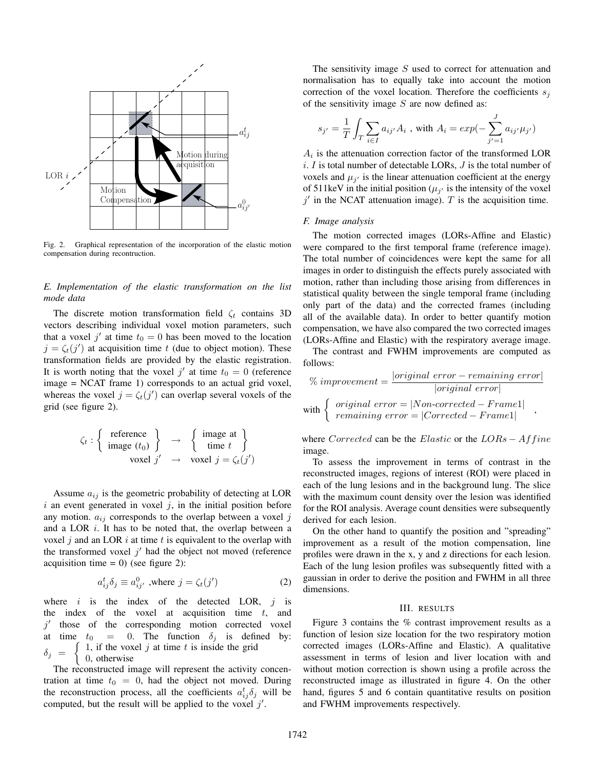

Fig. 2. Graphical representation of the incorporation of the elastic motion compensation during recontruction.

# *E. Implementation of the elastic transformation on the list mode data*

The discrete motion transformation field  $\zeta_t$  contains 3D vectors describing individual voxel motion parameters, such that a voxel j' at time  $t_0 = 0$  has been moved to the location  $j = \zeta_t(j')$  at acquisition time t (due to object motion). These transformation fields are provided by the elastic registration. It is worth noting that the voxel j' at time  $t_0 = 0$  (reference image = NCAT frame 1) corresponds to an actual grid voxel, whereas the voxel  $j = \zeta_t(j')$  can overlap several voxels of the grid (see figure 2).

$$
\zeta_t : \left\{ \begin{array}{c} \text{reference} \\ \text{image } (t_0) \end{array} \right\} \rightarrow \left\{ \begin{array}{c} \text{image at} \\ \text{time } t \end{array} \right\}
$$
  
voxel  $j' \rightarrow \text{voxel } j = \zeta_t(j')$ 

Assume  $a_{ij}$  is the geometric probability of detecting at LOR  $i$  an event generated in voxel  $j$ , in the initial position before any motion.  $a_{ij}$  corresponds to the overlap between a voxel j and a LOR  $i$ . It has to be noted that, the overlap between a voxel j and an LOR i at time t is equivalent to the overlap with the transformed voxel  $j'$  had the object not moved (reference acquisition time  $= 0$ ) (see figure 2):

$$
a_{ij}^{t} \delta_{j} \equiv a_{ij'}^{0}
$$
, where  $j = \zeta_{t}(j')$  (2)

where  $i$  is the index of the detected LOR,  $j$  is the index of the voxel at acquisition time  $t$ , and  $j'$  those of the corresponding motion corrected voxel at time  $t_0 = 0$ . The function  $\delta_j$  is defined by:  $\delta_j =$  $\int 1$ , if the voxel j at time t is inside the grid  $\Big\{ 0, \text{ otherwise} \Big\}$ 

The reconstructed image will represent the activity concentration at time  $t_0 = 0$ , had the object not moved. During the reconstruction process, all the coefficients  $a_{ij}^t \delta_j$  will be computed, but the result will be applied to the voxel  $j'$ .

The sensitivity image  $S$  used to correct for attenuation and normalisation has to equally take into account the motion correction of the voxel location. Therefore the coefficients  $s_i$ of the sensitivity image  $S$  are now defined as:

$$
s_{j'}=\frac{1}{T}\int_{T}\sum_{i\in I}a_{ij'}A_i
$$
 , with  $A_i=exp(-\sum_{j'=1}^Ja_{ij'}\mu_{j'})$ 

 $A_i$  is the attenuation correction factor of the transformed LOR  $i. I$  is total number of detectable LORs,  $J$  is the total number of voxels and  $\mu_{i'}$  is the linear attenuation coefficient at the energy of 511keV in the initial position ( $\mu_{j'}$  is the intensity of the voxel  $j'$  in the NCAT attenuation image). T is the acquisition time.

#### *F. Image analysis*

The motion corrected images (LORs-Affine and Elastic) were compared to the first temporal frame (reference image). The total number of coincidences were kept the same for all images in order to distinguish the effects purely associated with motion, rather than including those arising from differences in statistical quality between the single temporal frame (including only part of the data) and the corrected frames (including all of the available data). In order to better quantify motion compensation, we have also compared the two corrected images (LORs-Affine and Elastic) with the respiratory average image.

The contrast and FWHM improvements are computed as follows:

$$
\% improvement = \frac{|original\ error - remaining\ error|}{|original\ error|}
$$
\n
$$
with \left\{ \begin{array}{l} original\ error = |Non-corrected - Frame1| \\ remaining\ error = |Corrected - Frame1| \end{array} \right\},
$$

where Corrected can be the Elastic or the  $LORs - Affine$ image.

To assess the improvement in terms of contrast in the reconstructed images, regions of interest (ROI) were placed in each of the lung lesions and in the background lung. The slice with the maximum count density over the lesion was identified for the ROI analysis. Average count densities were subsequently derived for each lesion.

On the other hand to quantify the position and "spreading" improvement as a result of the motion compensation, line profiles were drawn in the x, y and z directions for each lesion. Each of the lung lesion profiles was subsequently fitted with a gaussian in order to derive the position and FWHM in all three dimensions.

# III. RESULTS

Figure 3 contains the % contrast improvement results as a function of lesion size location for the two respiratory motion corrected images (LORs-Affine and Elastic). A qualitative assessment in terms of lesion and liver location with and without motion correction is shown using a profile across the reconstructed image as illustrated in figure 4. On the other hand, figures 5 and 6 contain quantitative results on position and FWHM improvements respectively.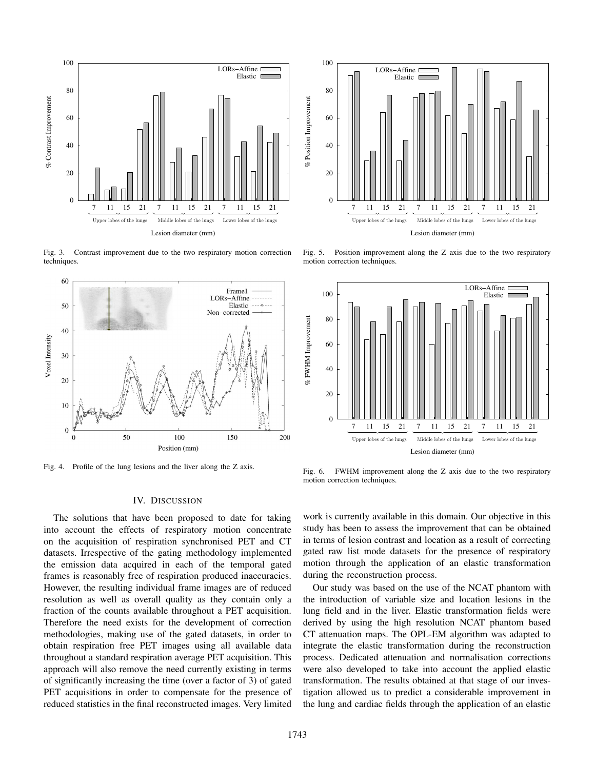

Fig. 3. Contrast improvement due to the two respiratory motion correction techniques.



Fig. 4. Profile of the lung lesions and the liver along the Z axis.

### IV. DISCUSSION

The solutions that have been proposed to date for taking into account the effects of respiratory motion concentrate on the acquisition of respiration synchronised PET and CT datasets. Irrespective of the gating methodology implemented the emission data acquired in each of the temporal gated frames is reasonably free of respiration produced inaccuracies. However, the resulting individual frame images are of reduced resolution as well as overall quality as they contain only a fraction of the counts available throughout a PET acquisition. Therefore the need exists for the development of correction methodologies, making use of the gated datasets, in order to obtain respiration free PET images using all available data throughout a standard respiration average PET acquisition. This approach will also remove the need currently existing in terms of significantly increasing the time (over a factor of 3) of gated PET acquisitions in order to compensate for the presence of reduced statistics in the final reconstructed images. Very limited



Fig. 5. Position improvement along the Z axis due to the two respiratory motion correction techniques.



Fig. 6. FWHM improvement along the Z axis due to the two respiratory motion correction techniques.

work is currently available in this domain. Our objective in this study has been to assess the improvement that can be obtained in terms of lesion contrast and location as a result of correcting gated raw list mode datasets for the presence of respiratory motion through the application of an elastic transformation during the reconstruction process.

Our study was based on the use of the NCAT phantom with the introduction of variable size and location lesions in the lung field and in the liver. Elastic transformation fields were derived by using the high resolution NCAT phantom based CT attenuation maps. The OPL-EM algorithm was adapted to integrate the elastic transformation during the reconstruction process. Dedicated attenuation and normalisation corrections were also developed to take into account the applied elastic transformation. The results obtained at that stage of our investigation allowed us to predict a considerable improvement in the lung and cardiac fields through the application of an elastic